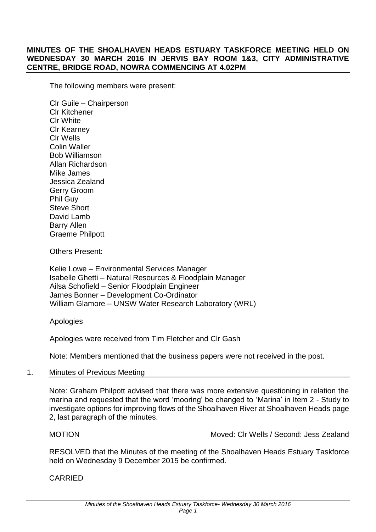# **MINUTES OF THE SHOALHAVEN HEADS ESTUARY TASKFORCE MEETING HELD ON WEDNESDAY 30 MARCH 2016 IN JERVIS BAY ROOM 1&3, CITY ADMINISTRATIVE CENTRE, BRIDGE ROAD, NOWRA COMMENCING AT 4.02PM**

The following members were present:

Clr Guile – Chairperson Clr Kitchener Clr White Clr Kearney Clr Wells Colin Waller Bob Williamson Allan Richardson Mike James Jessica Zealand Gerry Groom Phil Guy Steve Short David Lamb Barry Allen Graeme Philpott

Others Present:

Kelie Lowe – Environmental Services Manager Isabelle Ghetti – Natural Resources & Floodplain Manager Ailsa Schofield – Senior Floodplain Engineer James Bonner – Development Co-Ordinator William Glamore – UNSW Water Research Laboratory (WRL)

Apologies

Apologies were received from Tim Fletcher and Clr Gash

Note: Members mentioned that the business papers were not received in the post.

1. Minutes of Previous Meeting

Note: Graham Philpott advised that there was more extensive questioning in relation the marina and requested that the word 'mooring' be changed to 'Marina' in Item 2 - Study to investigate options for improving flows of the Shoalhaven River at Shoalhaven Heads page 2, last paragraph of the minutes.

MOTION Moved: Clr Wells / Second: Jess Zealand

RESOLVED that the Minutes of the meeting of the Shoalhaven Heads Estuary Taskforce held on Wednesday 9 December 2015 be confirmed.

CARRIED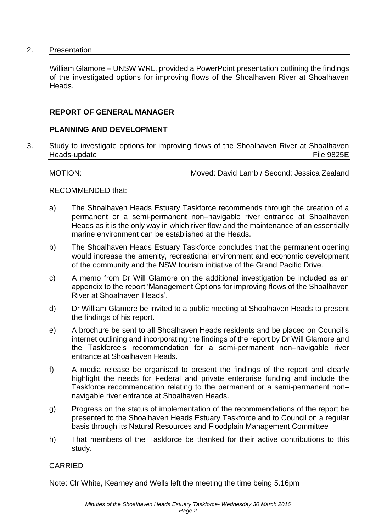## 2. Presentation

William Glamore – UNSW WRL, provided a PowerPoint presentation outlining the findings of the investigated options for improving flows of the Shoalhaven River at Shoalhaven Heads.

# **REPORT OF GENERAL MANAGER**

# **PLANNING AND DEVELOPMENT**

3. Study to investigate options for improving flows of the Shoalhaven River at Shoalhaven Heads-update File 9825E

MOTION: Moved: David Lamb / Second: Jessica Zealand

### RECOMMENDED that:

- a) The Shoalhaven Heads Estuary Taskforce recommends through the creation of a permanent or a semi-permanent non–navigable river entrance at Shoalhaven Heads as it is the only way in which river flow and the maintenance of an essentially marine environment can be established at the Heads.
- b) The Shoalhaven Heads Estuary Taskforce concludes that the permanent opening would increase the amenity, recreational environment and economic development of the community and the NSW tourism initiative of the Grand Pacific Drive.
- c) A memo from Dr Will Glamore on the additional investigation be included as an appendix to the report 'Management Options for improving flows of the Shoalhaven River at Shoalhaven Heads'.
- d) Dr William Glamore be invited to a public meeting at Shoalhaven Heads to present the findings of his report.
- e) A brochure be sent to all Shoalhaven Heads residents and be placed on Council's internet outlining and incorporating the findings of the report by Dr Will Glamore and the Taskforce's recommendation for a semi-permanent non–navigable river entrance at Shoalhaven Heads.
- f) A media release be organised to present the findings of the report and clearly highlight the needs for Federal and private enterprise funding and include the Taskforce recommendation relating to the permanent or a semi-permanent non– navigable river entrance at Shoalhaven Heads.
- g) Progress on the status of implementation of the recommendations of the report be presented to the Shoalhaven Heads Estuary Taskforce and to Council on a regular basis through its Natural Resources and Floodplain Management Committee
- h) That members of the Taskforce be thanked for their active contributions to this study.

## CARRIED

Note: Clr White, Kearney and Wells left the meeting the time being 5.16pm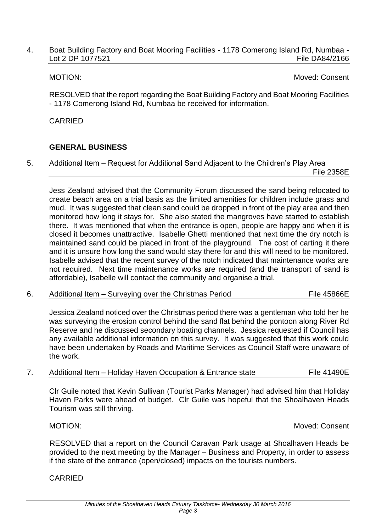## 4. Boat Building Factory and Boat Mooring Facilities - 1178 Comerong Island Rd, Numbaa -<br>File DA84/2166 Lot 2 DP 1077521

MOTION: Moved: Consent

RESOLVED that the report regarding the Boat Building Factory and Boat Mooring Facilities - 1178 Comerong Island Rd, Numbaa be received for information.

CARRIED

# **GENERAL BUSINESS**

5. Additional Item – Request for Additional Sand Adjacent to the Children's Play Area

File 2358E

Jess Zealand advised that the Community Forum discussed the sand being relocated to create beach area on a trial basis as the limited amenities for children include grass and mud. It was suggested that clean sand could be dropped in front of the play area and then monitored how long it stays for. She also stated the mangroves have started to establish there. It was mentioned that when the entrance is open, people are happy and when it is closed it becomes unattractive. Isabelle Ghetti mentioned that next time the dry notch is maintained sand could be placed in front of the playground. The cost of carting it there and it is unsure how long the sand would stay there for and this will need to be monitored. Isabelle advised that the recent survey of the notch indicated that maintenance works are not required. Next time maintenance works are required (and the transport of sand is affordable), Isabelle will contact the community and organise a trial.

6. Additional Item – Surveying over the Christmas Period File 45866E

Jessica Zealand noticed over the Christmas period there was a gentleman who told her he was surveying the erosion control behind the sand flat behind the pontoon along River Rd Reserve and he discussed secondary boating channels. Jessica requested if Council has any available additional information on this survey. It was suggested that this work could have been undertaken by Roads and Maritime Services as Council Staff were unaware of the work.

7. Additional Item – Holiday Haven Occupation & Entrance state File 41490E

Clr Guile noted that Kevin Sullivan (Tourist Parks Manager) had advised him that Holiday Haven Parks were ahead of budget. Clr Guile was hopeful that the Shoalhaven Heads Tourism was still thriving.

MOTION: Moved: Consent

RESOLVED that a report on the Council Caravan Park usage at Shoalhaven Heads be provided to the next meeting by the Manager – Business and Property, in order to assess if the state of the entrance (open/closed) impacts on the tourists numbers.

## CARRIED